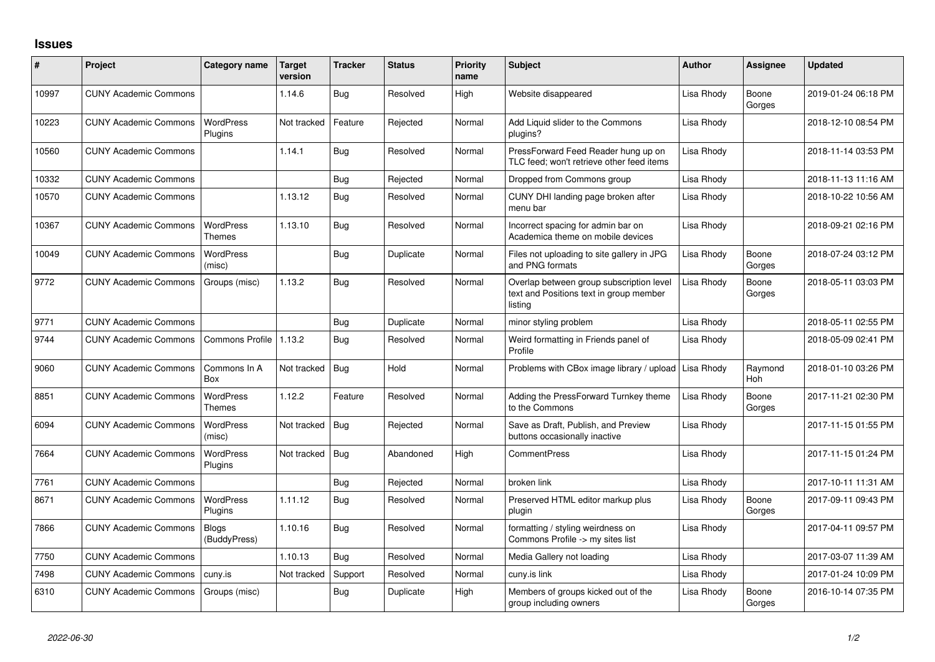## **Issues**

| ∦     | Project                      | Category name                     | Target<br>version | <b>Tracker</b> | <b>Status</b> | <b>Priority</b><br>name | <b>Subject</b>                                                                                 | Author     | <b>Assignee</b> | <b>Updated</b>      |
|-------|------------------------------|-----------------------------------|-------------------|----------------|---------------|-------------------------|------------------------------------------------------------------------------------------------|------------|-----------------|---------------------|
| 10997 | <b>CUNY Academic Commons</b> |                                   | 1.14.6            | Bug            | Resolved      | High                    | Website disappeared                                                                            | Lisa Rhody | Boone<br>Gorges | 2019-01-24 06:18 PM |
| 10223 | <b>CUNY Academic Commons</b> | <b>WordPress</b><br>Plugins       | Not tracked       | Feature        | Rejected      | Normal                  | Add Liquid slider to the Commons<br>plugins?                                                   | Lisa Rhody |                 | 2018-12-10 08:54 PM |
| 10560 | <b>CUNY Academic Commons</b> |                                   | 1.14.1            | Bug            | Resolved      | Normal                  | PressForward Feed Reader hung up on<br>TLC feed; won't retrieve other feed items               | Lisa Rhody |                 | 2018-11-14 03:53 PM |
| 10332 | <b>CUNY Academic Commons</b> |                                   |                   | Bug            | Rejected      | Normal                  | Dropped from Commons group                                                                     | Lisa Rhody |                 | 2018-11-13 11:16 AM |
| 10570 | <b>CUNY Academic Commons</b> |                                   | 1.13.12           | Bug            | Resolved      | Normal                  | CUNY DHI landing page broken after<br>menu bar                                                 | Lisa Rhody |                 | 2018-10-22 10:56 AM |
| 10367 | <b>CUNY Academic Commons</b> | <b>WordPress</b><br>Themes        | 1.13.10           | <b>Bug</b>     | Resolved      | Normal                  | Incorrect spacing for admin bar on<br>Academica theme on mobile devices                        | Lisa Rhody |                 | 2018-09-21 02:16 PM |
| 10049 | <b>CUNY Academic Commons</b> | <b>WordPress</b><br>(misc)        |                   | Bug            | Duplicate     | Normal                  | Files not uploading to site gallery in JPG<br>and PNG formats                                  | Lisa Rhody | Boone<br>Gorges | 2018-07-24 03:12 PM |
| 9772  | <b>CUNY Academic Commons</b> | Groups (misc)                     | 1.13.2            | <b>Bug</b>     | Resolved      | Normal                  | Overlap between group subscription level<br>text and Positions text in group member<br>listing | Lisa Rhody | Boone<br>Gorges | 2018-05-11 03:03 PM |
| 9771  | <b>CUNY Academic Commons</b> |                                   |                   | Bug            | Duplicate     | Normal                  | minor styling problem                                                                          | Lisa Rhody |                 | 2018-05-11 02:55 PM |
| 9744  | <b>CUNY Academic Commons</b> | <b>Commons Profile</b>            | 1.13.2            | Bug            | Resolved      | Normal                  | Weird formatting in Friends panel of<br>Profile                                                | Lisa Rhody |                 | 2018-05-09 02:41 PM |
| 9060  | <b>CUNY Academic Commons</b> | Commons In A<br>Box               | Not tracked       | Bug            | Hold          | Normal                  | Problems with CBox image library / upload                                                      | Lisa Rhody | Raymond<br>Hoh  | 2018-01-10 03:26 PM |
| 8851  | <b>CUNY Academic Commons</b> | <b>WordPress</b><br><b>Themes</b> | 1.12.2            | Feature        | Resolved      | Normal                  | Adding the PressForward Turnkey theme<br>to the Commons                                        | Lisa Rhody | Boone<br>Gorges | 2017-11-21 02:30 PM |
| 6094  | <b>CUNY Academic Commons</b> | <b>WordPress</b><br>(misc)        | Not tracked       | Bug            | Rejected      | Normal                  | Save as Draft, Publish, and Preview<br>buttons occasionally inactive                           | Lisa Rhody |                 | 2017-11-15 01:55 PM |
| 7664  | <b>CUNY Academic Commons</b> | <b>WordPress</b><br>Plugins       | Not tracked       | Bug            | Abandoned     | High                    | <b>CommentPress</b>                                                                            | Lisa Rhody |                 | 2017-11-15 01:24 PM |
| 7761  | <b>CUNY Academic Commons</b> |                                   |                   | Bug            | Rejected      | Normal                  | broken link                                                                                    | Lisa Rhody |                 | 2017-10-11 11:31 AM |
| 8671  | <b>CUNY Academic Commons</b> | <b>WordPress</b><br>Plugins       | 1.11.12           | <b>Bug</b>     | Resolved      | Normal                  | Preserved HTML editor markup plus<br>plugin                                                    | Lisa Rhody | Boone<br>Gorges | 2017-09-11 09:43 PM |
| 7866  | <b>CUNY Academic Commons</b> | <b>Blogs</b><br>(BuddyPress)      | 1.10.16           | Bug            | Resolved      | Normal                  | formatting / styling weirdness on<br>Commons Profile -> my sites list                          | Lisa Rhody |                 | 2017-04-11 09:57 PM |
| 7750  | <b>CUNY Academic Commons</b> |                                   | 1.10.13           | Bug            | Resolved      | Normal                  | Media Gallery not loading                                                                      | Lisa Rhody |                 | 2017-03-07 11:39 AM |
| 7498  | <b>CUNY Academic Commons</b> | cuny.is                           | Not tracked       | Support        | Resolved      | Normal                  | cuny.is link                                                                                   | Lisa Rhody |                 | 2017-01-24 10:09 PM |
| 6310  | <b>CUNY Academic Commons</b> | Groups (misc)                     |                   | Bug            | Duplicate     | High                    | Members of groups kicked out of the<br>group including owners                                  | Lisa Rhody | Boone<br>Gorges | 2016-10-14 07:35 PM |